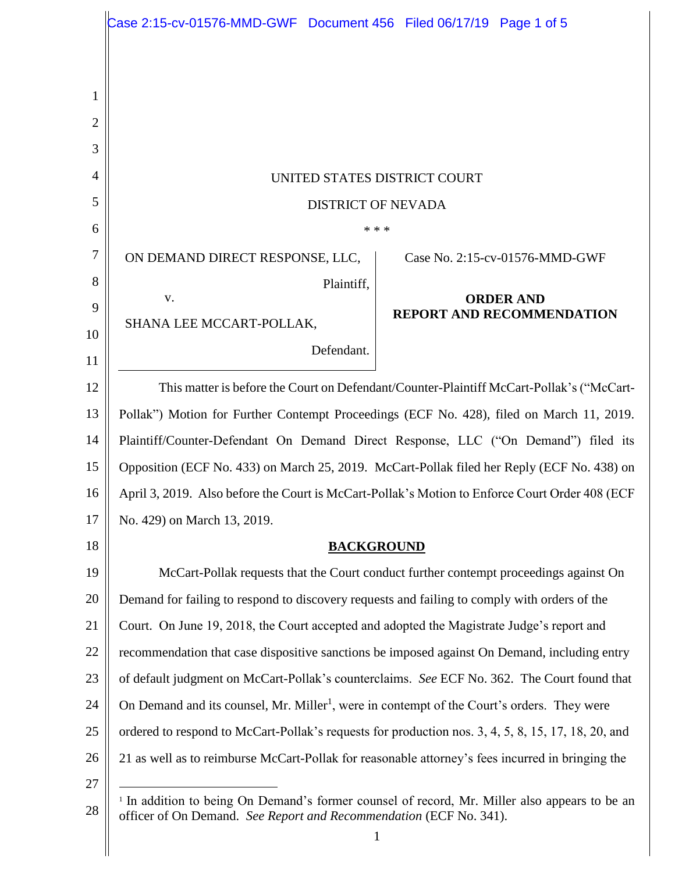|                | Case 2:15-cv-01576-MMD-GWF Document 456 Filed 06/17/19 Page 1 of 5                                                                                                                             |                                  |
|----------------|------------------------------------------------------------------------------------------------------------------------------------------------------------------------------------------------|----------------------------------|
|                |                                                                                                                                                                                                |                                  |
|                |                                                                                                                                                                                                |                                  |
| 1              |                                                                                                                                                                                                |                                  |
| 2              |                                                                                                                                                                                                |                                  |
| 3              |                                                                                                                                                                                                |                                  |
| $\overline{4}$ | UNITED STATES DISTRICT COURT                                                                                                                                                                   |                                  |
| 5              | <b>DISTRICT OF NEVADA</b>                                                                                                                                                                      |                                  |
| 6              | * * *                                                                                                                                                                                          |                                  |
| 7              | ON DEMAND DIRECT RESPONSE, LLC,                                                                                                                                                                | Case No. 2:15-cv-01576-MMD-GWF   |
| 8              | Plaintiff,<br>V.                                                                                                                                                                               | <b>ORDER AND</b>                 |
| 9              | SHANA LEE MCCART-POLLAK,                                                                                                                                                                       | <b>REPORT AND RECOMMENDATION</b> |
| 10             | Defendant.                                                                                                                                                                                     |                                  |
| 11             |                                                                                                                                                                                                |                                  |
| 12             | This matter is before the Court on Defendant/Counter-Plaintiff McCart-Pollak's ("McCart-                                                                                                       |                                  |
| 13             | Pollak") Motion for Further Contempt Proceedings (ECF No. 428), filed on March 11, 2019.                                                                                                       |                                  |
| 14             | Plaintiff/Counter-Defendant On Demand Direct Response, LLC ("On Demand") filed its                                                                                                             |                                  |
| 15             | Opposition (ECF No. 433) on March 25, 2019. McCart-Pollak filed her Reply (ECF No. 438) on                                                                                                     |                                  |
| 16             | April 3, 2019. Also before the Court is McCart-Pollak's Motion to Enforce Court Order 408 (ECF                                                                                                 |                                  |
| 17             | No. 429) on March 13, 2019.                                                                                                                                                                    |                                  |
| 18             | <b>BACKGROUND</b>                                                                                                                                                                              |                                  |
| 19             | McCart-Pollak requests that the Court conduct further contempt proceedings against On                                                                                                          |                                  |
| 20             | Demand for failing to respond to discovery requests and failing to comply with orders of the                                                                                                   |                                  |
| 21             | Court. On June 19, 2018, the Court accepted and adopted the Magistrate Judge's report and                                                                                                      |                                  |
| 22             | recommendation that case dispositive sanctions be imposed against On Demand, including entry                                                                                                   |                                  |
| 23             | of default judgment on McCart-Pollak's counterclaims. See ECF No. 362. The Court found that                                                                                                    |                                  |
| 24             | On Demand and its counsel, Mr. Miller <sup>1</sup> , were in contempt of the Court's orders. They were                                                                                         |                                  |
| 25             | ordered to respond to McCart-Pollak's requests for production nos. 3, 4, 5, 8, 15, 17, 18, 20, and                                                                                             |                                  |
| 26             | 21 as well as to reimburse McCart-Pollak for reasonable attorney's fees incurred in bringing the                                                                                               |                                  |
| 27<br>28       | <sup>1</sup> In addition to being On Demand's former counsel of record, Mr. Miller also appears to be an<br>officer of On Demand. See Report and Recommendation (ECF No. 341).<br>$\mathbf{1}$ |                                  |
|                |                                                                                                                                                                                                |                                  |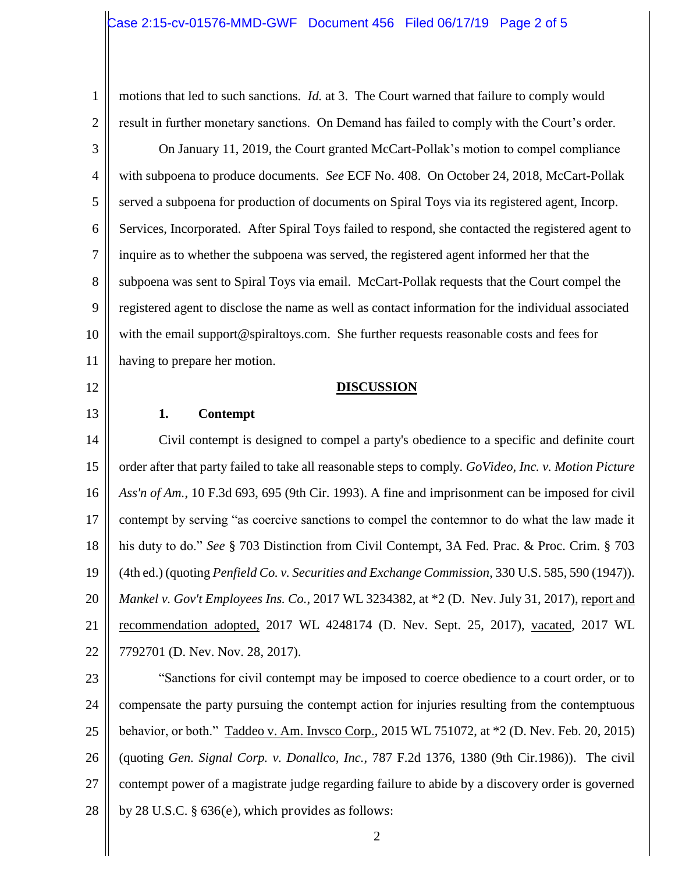# Case 2:15-cv-01576-MMD-GWF Document 456 Filed 06/17/19 Page 2 of 5

1 2 3 4 5 6 7 8 9 motions that led to such sanctions. *Id.* at 3. The Court warned that failure to comply would result in further monetary sanctions. On Demand has failed to comply with the Court's order. On January 11, 2019, the Court granted McCart-Pollak's motion to compel compliance with subpoena to produce documents. *See* ECF No. 408. On October 24, 2018, McCart-Pollak served a subpoena for production of documents on Spiral Toys via its registered agent, Incorp. Services, Incorporated. After Spiral Toys failed to respond, she contacted the registered agent to inquire as to whether the subpoena was served, the registered agent informed her that the subpoena was sent to Spiral Toys via email. McCart-Pollak requests that the Court compel the registered agent to disclose the name as well as contact information for the individual associated

10 11 with the email support@spiraltoys.com. She further requests reasonable costs and fees for having to prepare her motion.

12

13

### **DISCUSSION**

### **1. Contempt**

14 15 16 17 18 19 20 21 22 Civil contempt is designed to compel a party's obedience to a specific and definite court order after that party failed to take all reasonable steps to comply. *GoVideo, Inc. v. Motion Picture Ass'n of Am.*, 10 F.3d 693, 695 (9th Cir. 1993). A fine and imprisonment can be imposed for civil contempt by serving "as coercive sanctions to compel the contemnor to do what the law made it his duty to do." *See* § 703 Distinction from Civil Contempt, 3A Fed. Prac. & Proc. Crim. § 703 (4th ed.) (quoting *Penfield Co. v. Securities and Exchange Commission*, 330 U.S. 585, 590 (1947)). *Mankel v. Gov't Employees Ins. Co.*, 2017 WL 3234382, at \*2 (D. Nev. July 31, 2017), report and recommendation adopted, 2017 WL 4248174 (D. Nev. Sept. 25, 2017), vacated, 2017 WL 7792701 (D. Nev. Nov. 28, 2017).

23 24 25 26 27 28 "Sanctions for civil contempt may be imposed to coerce obedience to a court order, or to compensate the party pursuing the contempt action for injuries resulting from the contemptuous behavior, or both." Taddeo v. Am. Invsco Corp., 2015 WL 751072, at \*2 (D. Nev. Feb. 20, 2015) (quoting *Gen. Signal Corp. v. Donallco, Inc.,* 787 F.2d 1376, 1380 (9th Cir.1986)). The civil contempt power of a magistrate judge regarding failure to abide by a discovery order is governed by 28 U.S.C. § 636(e), which provides as follows: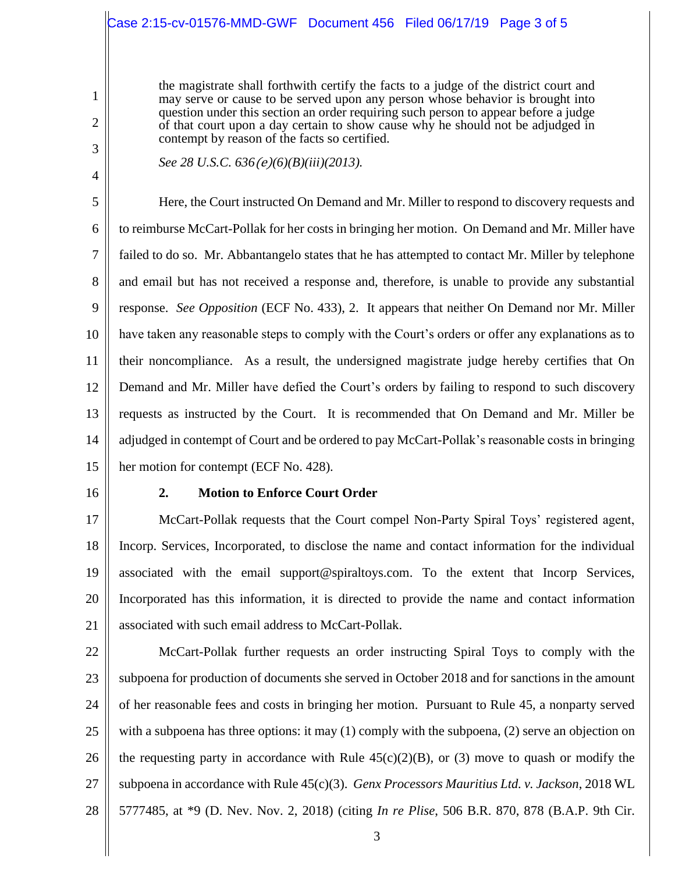# Case 2:15-cv-01576-MMD-GWF Document 456 Filed 06/17/19 Page 3 of 5

the magistrate shall forthwith certify the facts to a judge of the district court and may serve or cause to be served upon any person whose behavior is brought into question under this section an order requiring such person to appear before a judge of that court upon a day certain to show cause why he should not be adjudged in contempt by reason of the facts so certified.

1

2

3

4

*See 28 U.S.C. 636*(e)*(6)(B)(iii)(2013).* 

5 6 7 8 9 10 11 12 13 14 15 Here, the Court instructed On Demand and Mr. Miller to respond to discovery requests and to reimburse McCart-Pollak for her costs in bringing her motion. On Demand and Mr. Miller have failed to do so. Mr. Abbantangelo states that he has attempted to contact Mr. Miller by telephone and email but has not received a response and, therefore, is unable to provide any substantial response. *See Opposition* (ECF No. 433), 2. It appears that neither On Demand nor Mr. Miller have taken any reasonable steps to comply with the Court's orders or offer any explanations as to their noncompliance. As a result, the undersigned magistrate judge hereby certifies that On Demand and Mr. Miller have defied the Court's orders by failing to respond to such discovery requests as instructed by the Court. It is recommended that On Demand and Mr. Miller be adjudged in contempt of Court and be ordered to pay McCart-Pollak's reasonable costs in bringing her motion for contempt (ECF No. 428).

16

## **2. Motion to Enforce Court Order**

17 18 19 20 21 McCart-Pollak requests that the Court compel Non-Party Spiral Toys' registered agent, Incorp. Services, Incorporated, to disclose the name and contact information for the individual associated with the email support@spiraltoys.com. To the extent that Incorp Services, Incorporated has this information, it is directed to provide the name and contact information associated with such email address to McCart-Pollak.

22 23 24 25 26 27 28 McCart-Pollak further requests an order instructing Spiral Toys to comply with the subpoena for production of documents she served in October 2018 and for sanctions in the amount of her reasonable fees and costs in bringing her motion. Pursuant to Rule 45, a nonparty served with a subpoena has three options: it may (1) comply with the subpoena, (2) serve an objection on the requesting party in accordance with Rule  $45(c)(2)(B)$ , or (3) move to quash or modify the subpoena in accordance with Rule 45(c)(3). *Genx Processors Mauritius Ltd. v. Jackson*, 2018 WL 5777485, at \*9 (D. Nev. Nov. 2, 2018) (citing *In re Plise*, 506 B.R. 870, 878 (B.A.P. 9th Cir.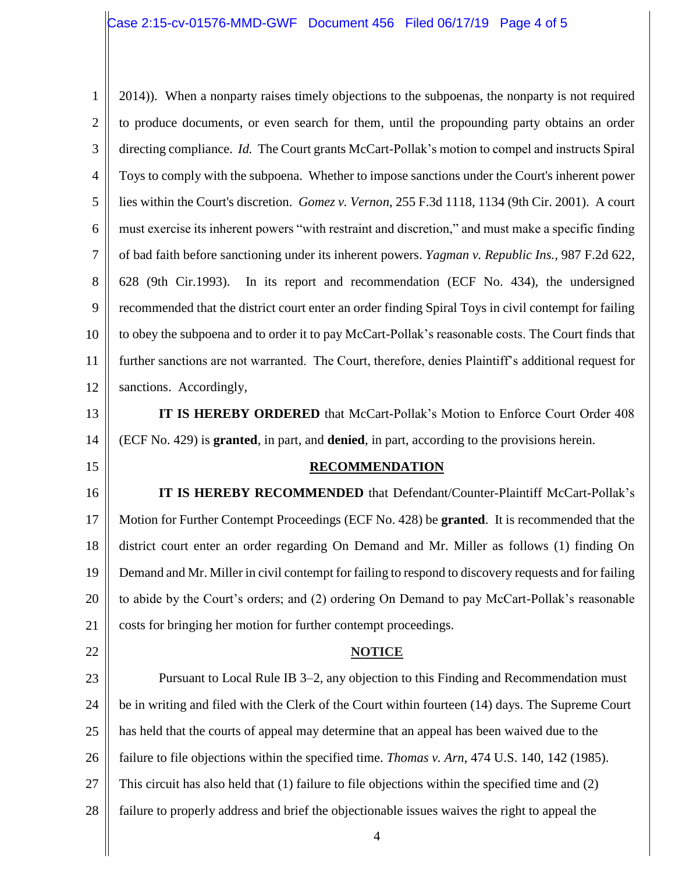# Case 2:15-cv-01576-MMD-GWF Document 456 Filed 06/17/19 Page 4 of 5

1 2 3 4 5 6 7 8 9 10 11 12 13 14 2014)). When a nonparty raises timely objections to the subpoenas, the nonparty is not required to produce documents, or even search for them, until the propounding party obtains an order directing compliance. *Id.* The Court grants McCart-Pollak's motion to compel and instructs Spiral Toys to comply with the subpoena. Whether to impose sanctions under the Court's inherent power lies within the Court's discretion. *Gomez v. Vernon*, 255 F.3d 1118, 1134 (9th Cir. 2001). A court must exercise its inherent powers "with restraint and discretion," and must make a specific finding of bad faith before sanctioning under its inherent powers. *Yagman v. Republic Ins.,* 987 F.2d 622, 628 (9th Cir.1993). In its report and recommendation (ECF No. 434), the undersigned recommended that the district court enter an order finding Spiral Toys in civil contempt for failing to obey the subpoena and to order it to pay McCart-Pollak's reasonable costs. The Court finds that further sanctions are not warranted. The Court, therefore, denies Plaintiff's additional request for sanctions. Accordingly, **IT IS HEREBY ORDERED** that McCart-Pollak's Motion to Enforce Court Order 408 (ECF No. 429) is **granted**, in part, and **denied**, in part, according to the provisions herein.

## **RECOMMENDATION**

16 17 18 19 20 21 **IT IS HEREBY RECOMMENDED** that Defendant/Counter-Plaintiff McCart-Pollak's Motion for Further Contempt Proceedings (ECF No. 428) be **granted**. It is recommended that the district court enter an order regarding On Demand and Mr. Miller as follows (1) finding On Demand and Mr. Miller in civil contempt for failing to respond to discovery requests and for failing to abide by the Court's orders; and (2) ordering On Demand to pay McCart-Pollak's reasonable costs for bringing her motion for further contempt proceedings.

22

15

#### **NOTICE**

23 24 25 26 27 28 Pursuant to Local Rule IB 3–2, any objection to this Finding and Recommendation must be in writing and filed with the Clerk of the Court within fourteen (14) days. The Supreme Court has held that the courts of appeal may determine that an appeal has been waived due to the failure to file objections within the specified time. *Thomas v. Arn*, 474 U.S. 140, 142 (1985). This circuit has also held that (1) failure to file objections within the specified time and (2) failure to properly address and brief the objectionable issues waives the right to appeal the